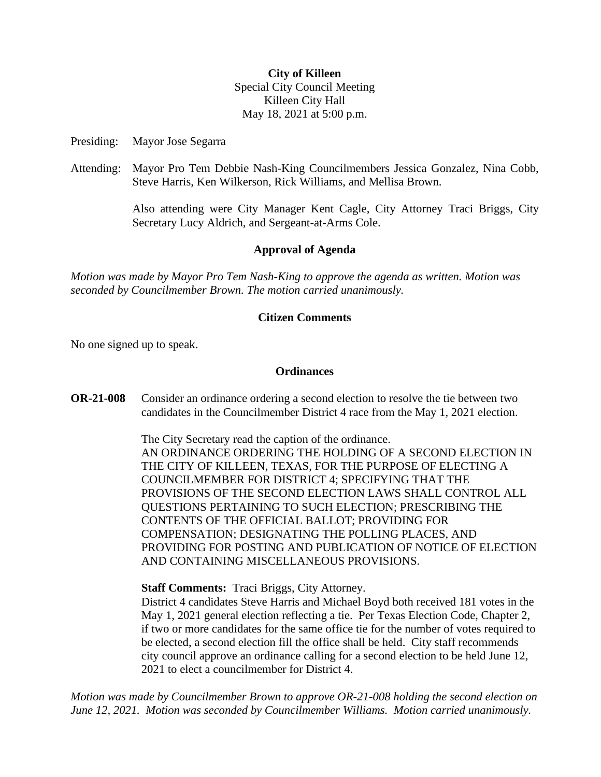## **City of Killeen**

Special City Council Meeting Killeen City Hall May 18, 2021 at 5:00 p.m.

Presiding: Mayor Jose Segarra

Attending: Mayor Pro Tem Debbie Nash-King Councilmembers Jessica Gonzalez, Nina Cobb, Steve Harris, Ken Wilkerson, Rick Williams, and Mellisa Brown.

> Also attending were City Manager Kent Cagle, City Attorney Traci Briggs, City Secretary Lucy Aldrich, and Sergeant-at-Arms Cole.

## **Approval of Agenda**

*Motion was made by Mayor Pro Tem Nash-King to approve the agenda as written. Motion was seconded by Councilmember Brown. The motion carried unanimously.*

## **Citizen Comments**

No one signed up to speak.

## **Ordinances**

**OR-21-008** Consider an ordinance ordering a second election to resolve the tie between two candidates in the Councilmember District 4 race from the May 1, 2021 election.

> The City Secretary read the caption of the ordinance. AN ORDINANCE ORDERING THE HOLDING OF A SECOND ELECTION IN THE CITY OF KILLEEN, TEXAS, FOR THE PURPOSE OF ELECTING A COUNCILMEMBER FOR DISTRICT 4; SPECIFYING THAT THE PROVISIONS OF THE SECOND ELECTION LAWS SHALL CONTROL ALL QUESTIONS PERTAINING TO SUCH ELECTION; PRESCRIBING THE CONTENTS OF THE OFFICIAL BALLOT; PROVIDING FOR COMPENSATION; DESIGNATING THE POLLING PLACES, AND PROVIDING FOR POSTING AND PUBLICATION OF NOTICE OF ELECTION AND CONTAINING MISCELLANEOUS PROVISIONS.

**Staff Comments:** Traci Briggs, City Attorney.

District 4 candidates Steve Harris and Michael Boyd both received 181 votes in the May 1, 2021 general election reflecting a tie. Per Texas Election Code, Chapter 2, if two or more candidates for the same office tie for the number of votes required to be elected, a second election fill the office shall be held. City staff recommends city council approve an ordinance calling for a second election to be held June 12, 2021 to elect a councilmember for District 4.

*Motion was made by Councilmember Brown to approve OR-21-008 holding the second election on June 12, 2021. Motion was seconded by Councilmember Williams. Motion carried unanimously.*